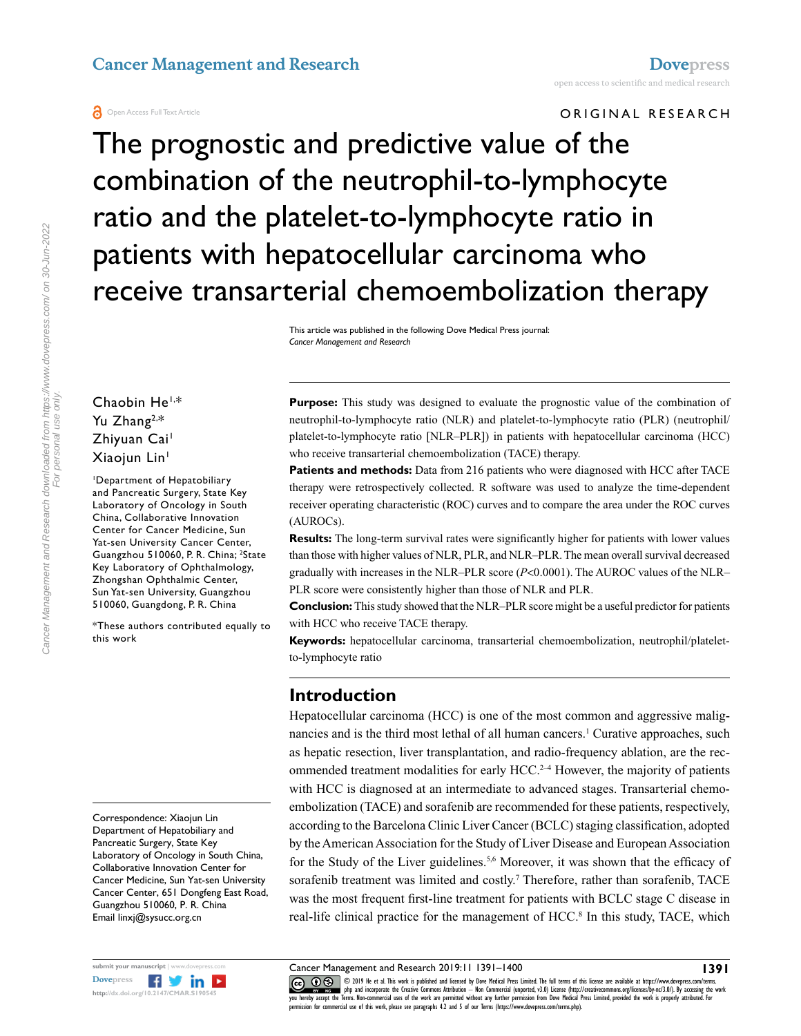#### **Cancer Management and Research <b>[Dovepress](www.dovepress.com)**

#### **O** Open Access Full Text Article

The prognostic and predictive value of the combination of the neutrophil-to-lymphocyte ratio and the platelet-to-lymphocyte ratio in patients with hepatocellular carcinoma who receive transarterial chemoembolization therapy

> This article was published in the following Dove Medical Press journal: *Cancer Management and Research*

Chaobin He1,\* Yu Zhang2,\* Zhiyuan Cai<sup>1</sup> Xiaojun Lin1

1 Department of Hepatobiliary and Pancreatic Surgery, State Key Laboratory of Oncology in South China, Collaborative Innovation Center for Cancer Medicine, Sun Yat-sen University Cancer Center, Guangzhou 510060, P. R. China; <sup>2</sup>State Key Laboratory of Ophthalmology, Zhongshan Ophthalmic Center, Sun Yat-sen University, Guangzhou 510060, Guangdong, P. R. China

\*These authors contributed equally to this work

Correspondence: Xiaojun Lin Department of Hepatobiliary and Pancreatic Surgery, State Key Laboratory of Oncology in South China, Collaborative Innovation Center for Cancer Medicine, Sun Yat-sen University Cancer Center, 651 Dongfeng East Road, Guangzhou 510060, P. R. China Email [linxj@sysucc.org.cn](mailto:linxj@sysucc.org.cn)



**Purpose:** This study was designed to evaluate the prognostic value of the combination of neutrophil-to-lymphocyte ratio (NLR) and platelet-to-lymphocyte ratio (PLR) (neutrophil/ platelet-to-lymphocyte ratio [NLR–PLR]) in patients with hepatocellular carcinoma (HCC) who receive transarterial chemoembolization (TACE) therapy.

**Patients and methods:** Data from 216 patients who were diagnosed with HCC after TACE therapy were retrospectively collected. R software was used to analyze the time-dependent receiver operating characteristic (ROC) curves and to compare the area under the ROC curves (AUROCs).

**Results:** The long-term survival rates were significantly higher for patients with lower values than those with higher values of NLR, PLR, and NLR–PLR. The mean overall survival decreased gradually with increases in the NLR–PLR score (*P*<0.0001). The AUROC values of the NLR– PLR score were consistently higher than those of NLR and PLR.

**Conclusion:** This study showed that the NLR–PLR score might be a useful predictor for patients with HCC who receive TACE therapy.

**Keywords:** hepatocellular carcinoma, transarterial chemoembolization, neutrophil/plateletto-lymphocyte ratio

#### **Introduction**

Hepatocellular carcinoma (HCC) is one of the most common and aggressive malignancies and is the third most lethal of all human cancers.<sup>1</sup> Curative approaches, such as hepatic resection, liver transplantation, and radio-frequency ablation, are the recommended treatment modalities for early HCC.<sup>2-4</sup> However, the majority of patients with HCC is diagnosed at an intermediate to advanced stages. Transarterial chemoembolization (TACE) and sorafenib are recommended for these patients, respectively, according to the Barcelona Clinic Liver Cancer (BCLC) staging classification, adopted by the American Association for the Study of Liver Disease and European Association for the Study of the Liver guidelines.<sup>5,6</sup> Moreover, it was shown that the efficacy of sorafenib treatment was limited and costly.<sup>7</sup> Therefore, rather than sorafenib, TACE was the most frequent first-line treatment for patients with BCLC stage C disease in real-life clinical practice for the management of HCC.<sup>8</sup> In this study, TACE, which

Cancer Management and Research 2019:11 1391–1400

**1391**

CO 19 He et al. This work is published and licensed by Dove Medical Press Limited. The full terms of this license are available at https://www.dovepress.com/terms.<br>You hereby accept the Terms. Non-commercial uses of the wo permission for commercial use of this work, please see paragraphs 4.2 and 5 of our Terms (https://www.dovepress.com/terms.php).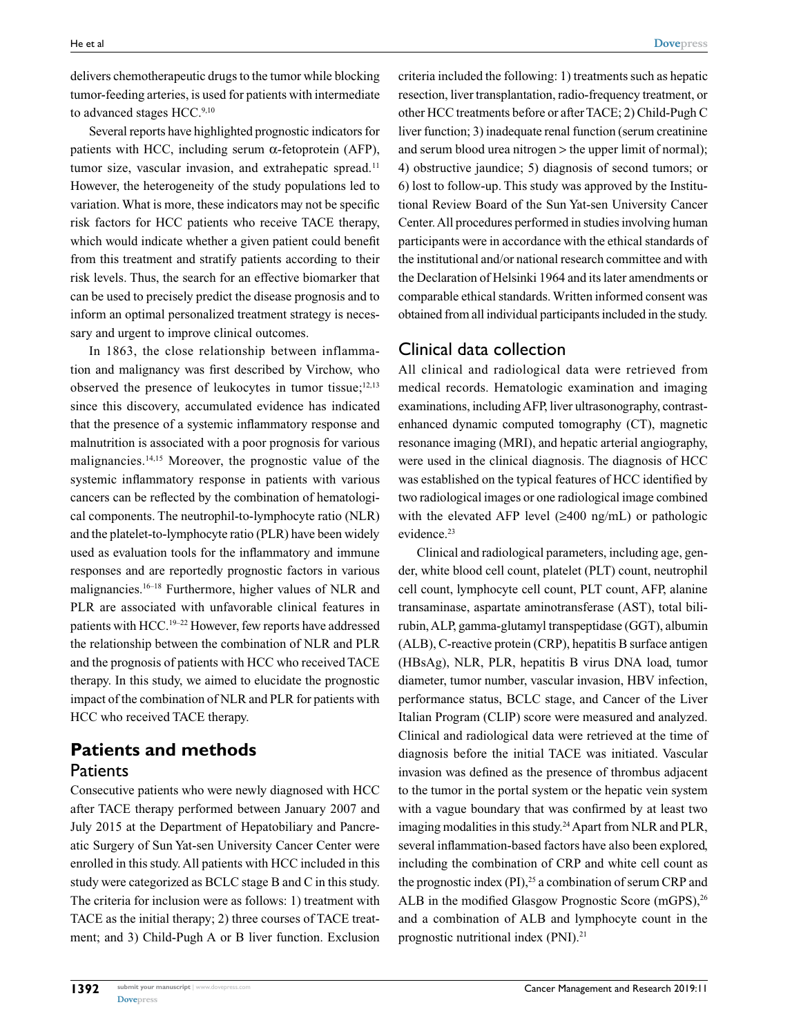delivers chemotherapeutic drugs to the tumor while blocking tumor-feeding arteries, is used for patients with intermediate to advanced stages HCC.<sup>9,10</sup>

Several reports have highlighted prognostic indicators for patients with HCC, including serum  $\alpha$ -fetoprotein (AFP), tumor size, vascular invasion, and extrahepatic spread.<sup>11</sup> However, the heterogeneity of the study populations led to variation. What is more, these indicators may not be specific risk factors for HCC patients who receive TACE therapy, which would indicate whether a given patient could benefit from this treatment and stratify patients according to their risk levels. Thus, the search for an effective biomarker that can be used to precisely predict the disease prognosis and to inform an optimal personalized treatment strategy is necessary and urgent to improve clinical outcomes.

In 1863, the close relationship between inflammation and malignancy was first described by Virchow, who observed the presence of leukocytes in tumor tissue; $^{12,13}$ since this discovery, accumulated evidence has indicated that the presence of a systemic inflammatory response and malnutrition is associated with a poor prognosis for various malignancies.14,15 Moreover, the prognostic value of the systemic inflammatory response in patients with various cancers can be reflected by the combination of hematological components. The neutrophil-to-lymphocyte ratio (NLR) and the platelet-to-lymphocyte ratio (PLR) have been widely used as evaluation tools for the inflammatory and immune responses and are reportedly prognostic factors in various malignancies.16–18 Furthermore, higher values of NLR and PLR are associated with unfavorable clinical features in patients with HCC.19–22 However, few reports have addressed the relationship between the combination of NLR and PLR and the prognosis of patients with HCC who received TACE therapy. In this study, we aimed to elucidate the prognostic impact of the combination of NLR and PLR for patients with HCC who received TACE therapy.

## **Patients and methods Patients**

Consecutive patients who were newly diagnosed with HCC after TACE therapy performed between January 2007 and July 2015 at the Department of Hepatobiliary and Pancreatic Surgery of Sun Yat-sen University Cancer Center were enrolled in this study. All patients with HCC included in this study were categorized as BCLC stage B and C in this study. The criteria for inclusion were as follows: 1) treatment with TACE as the initial therapy; 2) three courses of TACE treatment; and 3) Child-Pugh A or B liver function. Exclusion criteria included the following: 1) treatments such as hepatic resection, liver transplantation, radio-frequency treatment, or other HCC treatments before or after TACE; 2) Child-Pugh C liver function; 3) inadequate renal function (serum creatinine and serum blood urea nitrogen > the upper limit of normal); 4) obstructive jaundice; 5) diagnosis of second tumors; or 6) lost to follow-up. This study was approved by the Institutional Review Board of the Sun Yat-sen University Cancer Center. All procedures performed in studies involving human participants were in accordance with the ethical standards of the institutional and/or national research committee and with the Declaration of Helsinki 1964 and its later amendments or comparable ethical standards. Written informed consent was obtained from all individual participants included in the study.

#### Clinical data collection

All clinical and radiological data were retrieved from medical records. Hematologic examination and imaging examinations, including AFP, liver ultrasonography, contrastenhanced dynamic computed tomography (CT), magnetic resonance imaging (MRI), and hepatic arterial angiography, were used in the clinical diagnosis. The diagnosis of HCC was established on the typical features of HCC identified by two radiological images or one radiological image combined with the elevated AFP level  $(\geq 400 \text{ ng/mL})$  or pathologic evidence.<sup>23</sup>

Clinical and radiological parameters, including age, gender, white blood cell count, platelet (PLT) count, neutrophil cell count, lymphocyte cell count, PLT count, AFP, alanine transaminase, aspartate aminotransferase (AST), total bilirubin, ALP, gamma-glutamyl transpeptidase (GGT), albumin (ALB), C-reactive protein (CRP), hepatitis B surface antigen (HBsAg), NLR, PLR, hepatitis B virus DNA load, tumor diameter, tumor number, vascular invasion, HBV infection, performance status, BCLC stage, and Cancer of the Liver Italian Program (CLIP) score were measured and analyzed. Clinical and radiological data were retrieved at the time of diagnosis before the initial TACE was initiated. Vascular invasion was defined as the presence of thrombus adjacent to the tumor in the portal system or the hepatic vein system with a vague boundary that was confirmed by at least two imaging modalities in this study.<sup>24</sup> Apart from NLR and PLR, several inflammation-based factors have also been explored, including the combination of CRP and white cell count as the prognostic index  $(PI)$ ,<sup>25</sup> a combination of serum CRP and ALB in the modified Glasgow Prognostic Score (mGPS), 26 and a combination of ALB and lymphocyte count in the prognostic nutritional index (PNI).<sup>21</sup>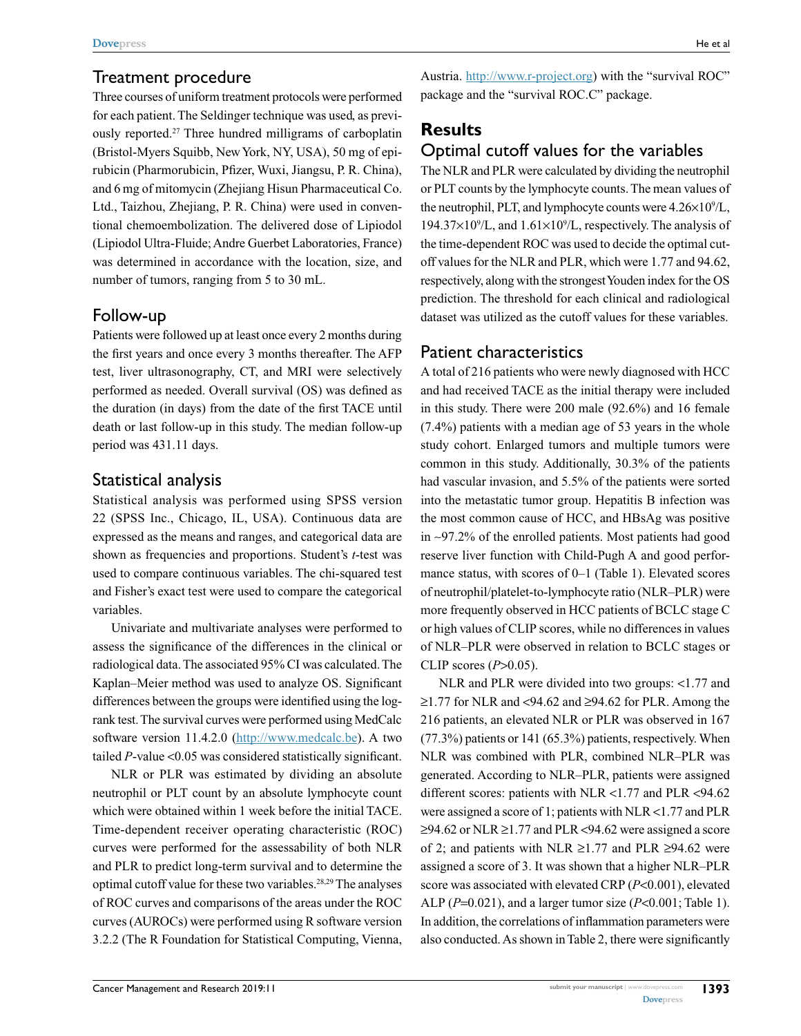## Treatment procedure

Three courses of uniform treatment protocols were performed for each patient. The Seldinger technique was used, as previously reported.27 Three hundred milligrams of carboplatin (Bristol-Myers Squibb, New York, NY, USA), 50 mg of epirubicin (Pharmorubicin, Pfizer, Wuxi, Jiangsu, P. R. China), and 6 mg of mitomycin (Zhejiang Hisun Pharmaceutical Co. Ltd., Taizhou, Zhejiang, P. R. China) were used in conventional chemoembolization. The delivered dose of Lipiodol (Lipiodol Ultra-Fluide; Andre Guerbet Laboratories, France) was determined in accordance with the location, size, and number of tumors, ranging from 5 to 30 mL.

# Follow-up

Patients were followed up at least once every 2 months during the first years and once every 3 months thereafter. The AFP test, liver ultrasonography, CT, and MRI were selectively performed as needed. Overall survival (OS) was defined as the duration (in days) from the date of the first TACE until death or last follow-up in this study. The median follow-up period was 431.11 days.

## Statistical analysis

Statistical analysis was performed using SPSS version 22 (SPSS Inc., Chicago, IL, USA). Continuous data are expressed as the means and ranges, and categorical data are shown as frequencies and proportions. Student's *t*-test was used to compare continuous variables. The chi-squared test and Fisher's exact test were used to compare the categorical variables.

Univariate and multivariate analyses were performed to assess the significance of the differences in the clinical or radiological data. The associated 95% CI was calculated. The Kaplan–Meier method was used to analyze OS. Significant differences between the groups were identified using the logrank test. The survival curves were performed using MedCalc software version 11.4.2.0 (<http://www.medcalc.be>). A two tailed *P*-value <0.05 was considered statistically significant.

NLR or PLR was estimated by dividing an absolute neutrophil or PLT count by an absolute lymphocyte count which were obtained within 1 week before the initial TACE. Time-dependent receiver operating characteristic (ROC) curves were performed for the assessability of both NLR and PLR to predict long-term survival and to determine the optimal cutoff value for these two variables.<sup>28,29</sup> The analyses of ROC curves and comparisons of the areas under the ROC curves (AUROCs) were performed using R software version 3.2.2 (The R Foundation for Statistical Computing, Vienna, Austria.<http://www.r-project.org>) with the "survival ROC" package and the "survival ROC.C" package.

# **Results**

# Optimal cutoff values for the variables

The NLR and PLR were calculated by dividing the neutrophil or PLT counts by the lymphocyte counts. The mean values of the neutrophil, PLT, and lymphocyte counts were  $4.26 \times 10^9$ /L,  $194.37 \times 10^9$ /L, and  $1.61 \times 10^9$ /L, respectively. The analysis of the time-dependent ROC was used to decide the optimal cutoff values for the NLR and PLR, which were 1.77 and 94.62, respectively, along with the strongest Youden index for the OS prediction. The threshold for each clinical and radiological dataset was utilized as the cutoff values for these variables.

## Patient characteristics

A total of 216 patients who were newly diagnosed with HCC and had received TACE as the initial therapy were included in this study. There were 200 male (92.6%) and 16 female (7.4%) patients with a median age of 53 years in the whole study cohort. Enlarged tumors and multiple tumors were common in this study. Additionally, 30.3% of the patients had vascular invasion, and 5.5% of the patients were sorted into the metastatic tumor group. Hepatitis B infection was the most common cause of HCC, and HBsAg was positive in ~97.2% of the enrolled patients. Most patients had good reserve liver function with Child-Pugh A and good performance status, with scores of 0–1 (Table 1). Elevated scores of neutrophil/platelet-to-lymphocyte ratio (NLR–PLR) were more frequently observed in HCC patients of BCLC stage C or high values of CLIP scores, while no differences in values of NLR–PLR were observed in relation to BCLC stages or CLIP scores (*P*>0.05).

NLR and PLR were divided into two groups: <1.77 and ≥1.77 for NLR and <94.62 and ≥94.62 for PLR. Among the 216 patients, an elevated NLR or PLR was observed in 167 (77.3%) patients or 141 (65.3%) patients, respectively. When NLR was combined with PLR, combined NLR–PLR was generated. According to NLR–PLR, patients were assigned different scores: patients with NLR <1.77 and PLR <94.62 were assigned a score of 1; patients with NLR <1.77 and PLR ≥94.62 or NLR ≥1.77 and PLR <94.62 were assigned a score of 2; and patients with NLR ≥1.77 and PLR ≥94.62 were assigned a score of 3. It was shown that a higher NLR–PLR score was associated with elevated CRP (*P*<0.001), elevated ALP (*P*=0.021), and a larger tumor size (*P*<0.001; Table 1). In addition, the correlations of inflammation parameters were also conducted. As shown in Table 2, there were significantly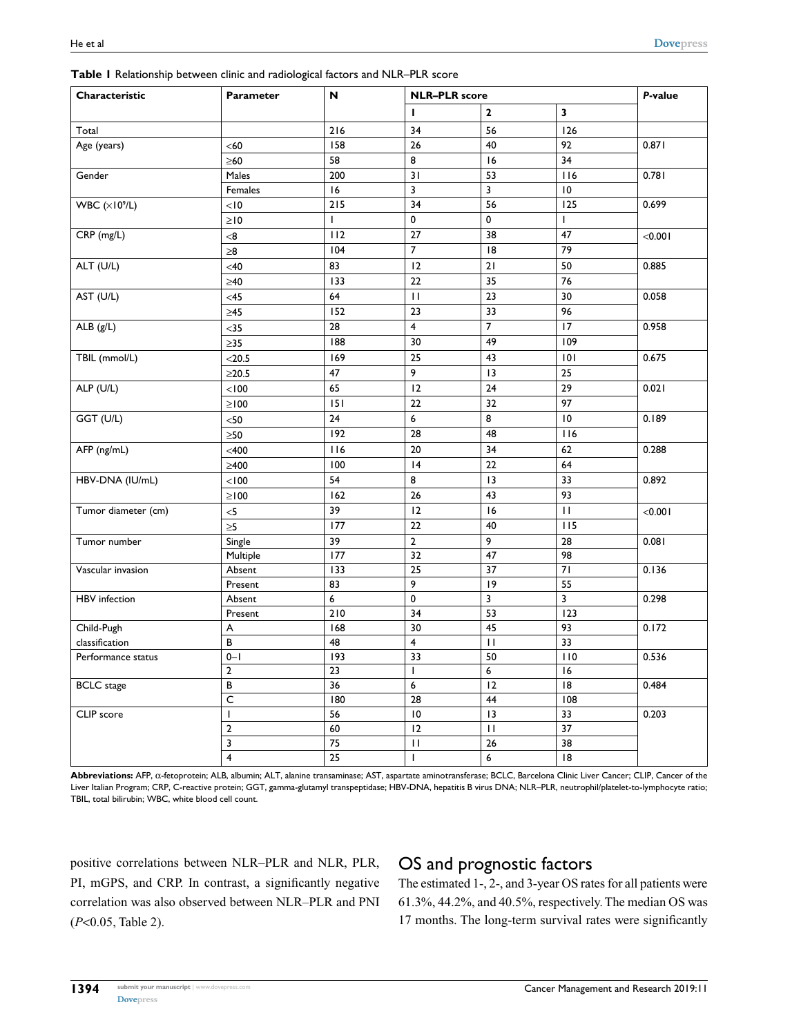|  |  | <b>Table I</b> Relationship between clinic and radiological factors and NLR–PLR score |
|--|--|---------------------------------------------------------------------------------------|
|  |  |                                                                                       |

| Characteristic        | Parameter                                | N                |                         | <b>NLR-PLR</b> score    |                         |         |
|-----------------------|------------------------------------------|------------------|-------------------------|-------------------------|-------------------------|---------|
|                       |                                          |                  | т                       | $\overline{2}$          | 3                       |         |
| Total                 |                                          | 216              | 34                      | 56                      | 126                     |         |
| Age (years)           | $<\!\!60$                                | 158              | 26                      | 40                      | 92                      | 0.871   |
|                       | $\geq 60$                                | 58               | 8                       | 16                      | 34                      |         |
| Gender                | Males                                    | 200              | 31                      | 53                      | 116                     | 0.781   |
|                       | Females                                  | 16               | $\overline{\mathbf{3}}$ | 3                       | 10                      |         |
| WBC $(\times 10^9/L)$ | < 10                                     | 215              | 34                      | 56                      | 125                     | 0.699   |
|                       | $\geq 10$                                | $\mathbf{I}$     | 0                       | 0                       | $\mathbf{I}$            |         |
| $CRP$ (mg/L)          | &8                                       | 112              | 27                      | 38                      | 47                      | < 0.001 |
|                       | $\geq 8$                                 | 104              | $\overline{7}$          | 8                       | 79                      |         |
| ALT (U/L)             | $<$ 40                                   | 83               | 12                      | 21                      | 50                      | 0.885   |
|                       | $\geq$ 40                                | 133              | 22                      | 35                      | 76                      |         |
| AST (U/L)             | $<$ 45 $\,$                              | 64               | $\mathbf{H}$            | 23                      | 30                      | 0.058   |
|                       | $\geq 45$                                | 152              | 23                      | 33                      | 96                      |         |
| ALB(g/L)              | $35$                                     | 28               | $\overline{\mathbf{4}}$ | $\overline{7}$          | 17                      | 0.958   |
|                       | $\geq 35$                                | 188              | 30                      | 49                      | 109                     |         |
| TBIL (mmol/L)         | < 20.5                                   | 169              | 25                      | 43                      | 101                     | 0.675   |
|                       | $\geq 20.5$                              | 47               | 9                       | 13                      | 25                      |         |
| ALP (U/L)             | < 100                                    | 65               | 12                      | 24                      | 29                      | 0.021   |
|                       | $\geq$ 100                               | $\overline{151}$ | 22                      | 32                      | 97                      |         |
| GGT (U/L)             | $< 50$                                   | 24               | 6                       | $\overline{\mathbf{8}}$ | 10                      | 0.189   |
|                       | $\geq 50$                                | 192              | 28                      | 48                      | 116                     |         |
| AFP (ng/mL)           | $<$ 400                                  | 116              | 20                      | 34                      | 62                      | 0.288   |
|                       | $\geq$ 400                               | 100              | 4                       | 22                      | 64                      |         |
| HBV-DNA (IU/mL)       | < 100                                    | $\overline{54}$  | 8                       | 13                      | 33                      | 0.892   |
|                       | $\geq$ 100                               | 162              | 26                      | 43                      | 93                      |         |
| Tumor diameter (cm)   | $<$ 5                                    | 39               | 12                      | 16                      | $\mathbf{H}$            | < 0.001 |
|                       | $\geq 5$                                 | 177              | 22                      | 40                      | 115                     |         |
| Tumor number          | Single                                   | 39               | $\overline{2}$          | 9                       | 28                      | 0.081   |
|                       | Multiple                                 | 177              | 32                      | 47                      | 98                      |         |
| Vascular invasion     | Absent                                   | 133              | 25                      | 37                      | 71                      | 0.136   |
|                       | Present                                  | 83               | 9                       | 9                       | 55                      |         |
| <b>HBV</b> infection  | Absent                                   | $\boldsymbol{6}$ | $\pmb{0}$               | 3                       | $\overline{\mathbf{3}}$ | 0.298   |
|                       | Present                                  | 210              | 34                      | 53                      | 123                     |         |
| Child-Pugh            | A                                        | 168              | 30                      | 45                      | 93                      | 0.172   |
| classification        | B                                        | 48               | $\overline{\mathbf{4}}$ | $\mathbf{H}$            | 33                      |         |
| Performance status    | $0 - 1$                                  | 193              | 33                      | 50                      | 110                     | 0.536   |
|                       | $\overline{2}$                           | 23               | $\mathbf{I}$            | 6                       | 16                      |         |
| <b>BCLC</b> stage     | B<br>$\overline{\mathsf{c}}$             | 36               | $6\phantom{1}6$         | 12                      | 18                      | 0.484   |
|                       |                                          | 180              | 28                      | 44                      | 108                     |         |
| CLIP score            | $\overline{\phantom{a}}$<br>$\mathbf{2}$ | 56               | $\overline{10}$<br>12   | 13<br>$\mathbf{H}$      | 33<br>37                | 0.203   |
|                       | 3                                        | 60<br>75         | $\mathbf{H}$            | 26                      | 38                      |         |
|                       | $\overline{4}$                           | 25               | $\mathbf{I}$            | 6                       | 18                      |         |
|                       |                                          |                  |                         |                         |                         |         |

**Abbreviations:** AFP, α-fetoprotein; ALB, albumin; ALT, alanine transaminase; AST, aspartate aminotransferase; BCLC, Barcelona Clinic Liver Cancer; CLIP, Cancer of the Liver Italian Program; CRP, C-reactive protein; GGT, gamma-glutamyl transpeptidase; HBV-DNA, hepatitis B virus DNA; NLR–PLR, neutrophil/platelet-to-lymphocyte ratio; TBIL, total bilirubin; WBC, white blood cell count.

positive correlations between NLR–PLR and NLR, PLR, PI, mGPS, and CRP. In contrast, a significantly negative correlation was also observed between NLR–PLR and PNI (*P*<0.05, Table 2).

# OS and prognostic factors

The estimated 1-, 2-, and 3-year OS rates for all patients were 61.3%, 44.2%, and 40.5%, respectively. The median OS was 17 months. The long-term survival rates were significantly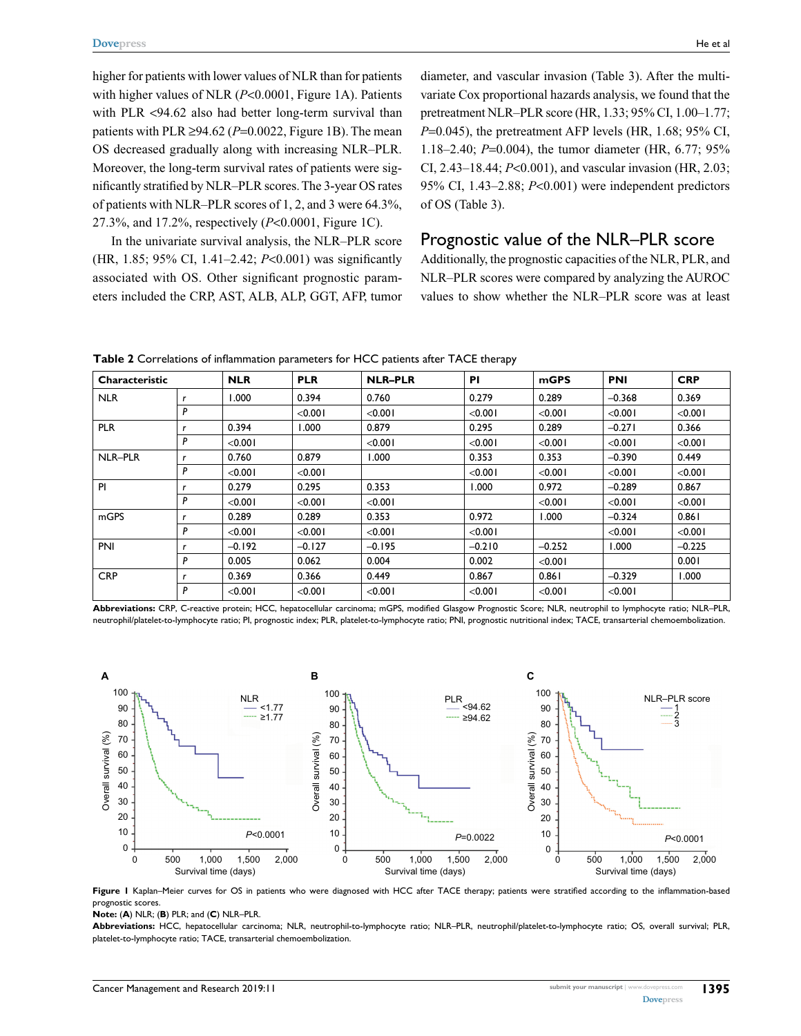higher for patients with lower values of NLR than for patients with higher values of NLR (*P*<0.0001, Figure 1A). Patients with PLR <94.62 also had better long-term survival than patients with PLR  $\geq$ 94.62 (*P*=0.0022, Figure 1B). The mean OS decreased gradually along with increasing NLR–PLR. Moreover, the long-term survival rates of patients were significantly stratified by NLR–PLR scores. The 3-year OS rates of patients with NLR–PLR scores of 1, 2, and 3 were 64.3%, 27.3%, and 17.2%, respectively (*P*<0.0001, Figure 1C).

In the univariate survival analysis, the NLR–PLR score (HR, 1.85; 95% CI, 1.41–2.42; *P*<0.001) was significantly associated with OS. Other significant prognostic parameters included the CRP, AST, ALB, ALP, GGT, AFP, tumor diameter, and vascular invasion (Table 3). After the multivariate Cox proportional hazards analysis, we found that the pretreatment NLR–PLR score (HR, 1.33; 95% CI, 1.00–1.77; *P*=0.045), the pretreatment AFP levels (HR, 1.68; 95% CI, 1.18–2.40; *P*=0.004), the tumor diameter (HR, 6.77; 95% CI, 2.43–18.44; *P*<0.001), and vascular invasion (HR, 2.03; 95% CI, 1.43–2.88; *P*<0.001) were independent predictors of OS (Table 3).

## Prognostic value of the NLR–PLR score

Additionally, the prognostic capacities of the NLR, PLR, and NLR–PLR scores were compared by analyzing the AUROC values to show whether the NLR–PLR score was at least

| <b>Characteristic</b> |   | <b>NLR</b> | <b>PLR</b> | <b>NLR-PLR</b> | <b>PI</b> | mGPS     | PNI      | <b>CRP</b> |
|-----------------------|---|------------|------------|----------------|-----------|----------|----------|------------|
| <b>NLR</b>            |   | 000.       | 0.394      | 0.760          | 0.279     | 0.289    | $-0.368$ | 0.369      |
|                       | P |            | < 0.001    | < 0.001        | < 0.001   | < 0.001  | < 0.001  | < 0.001    |
| <b>PLR</b>            |   | 0.394      | 1.000      | 0.879          | 0.295     | 0.289    | $-0.271$ | 0.366      |
|                       | P | < 0.001    |            | < 0.001        | < 0.001   | < 0.001  | < 0.001  | < 0.001    |
| NLR-PLR               |   | 0.760      | 0.879      | 000.1          | 0.353     | 0.353    | $-0.390$ | 0.449      |
|                       | P | < 0.001    | < 0.001    |                | < 0.001   | < 0.001  | < 0.001  | < 0.001    |
| PI                    |   | 0.279      | 0.295      | 0.353          | 1.000     | 0.972    | $-0.289$ | 0.867      |
|                       | P | < 0.001    | < 0.001    | < 0.001        |           | < 0.001  | < 0.001  | < 0.001    |
| mGPS                  |   | 0.289      | 0.289      | 0.353          | 0.972     | 1.000    | $-0.324$ | 0.861      |
|                       | P | < 0.001    | < 0.001    | < 0.001        | < 0.001   |          | < 0.001  | < 0.001    |
| <b>PNI</b>            |   | $-0.192$   | $-0.127$   | $-0.195$       | $-0.210$  | $-0.252$ | 1.000    | $-0.225$   |
|                       | P | 0.005      | 0.062      | 0.004          | 0.002     | < 0.001  |          | 0.001      |
| <b>CRP</b>            |   | 0.369      | 0.366      | 0.449          | 0.867     | 0.861    | $-0.329$ | 1.000      |
|                       | P | < 0.001    | < 0.001    | < 0.001        | < 0.001   | < 0.001  | < 0.001  |            |

**Abbreviations:** CRP, C-reactive protein; HCC, hepatocellular carcinoma; mGPS, modified Glasgow Prognostic Score; NLR, neutrophil to lymphocyte ratio; NLR–PLR, neutrophil/platelet-to-lymphocyte ratio; PI, prognostic index; PLR, platelet-to-lymphocyte ratio; PNI, prognostic nutritional index; TACE, transarterial chemoembolization.





**Note:** (**A**) NLR; (**B**) PLR; and (**C**) NLR–PLR.

**Abbreviations:** HCC, hepatocellular carcinoma; NLR, neutrophil-to-lymphocyte ratio; NLR–PLR, neutrophil/platelet-to-lymphocyte ratio; OS, overall survival; PLR, platelet-to-lymphocyte ratio; TACE, transarterial chemoembolization.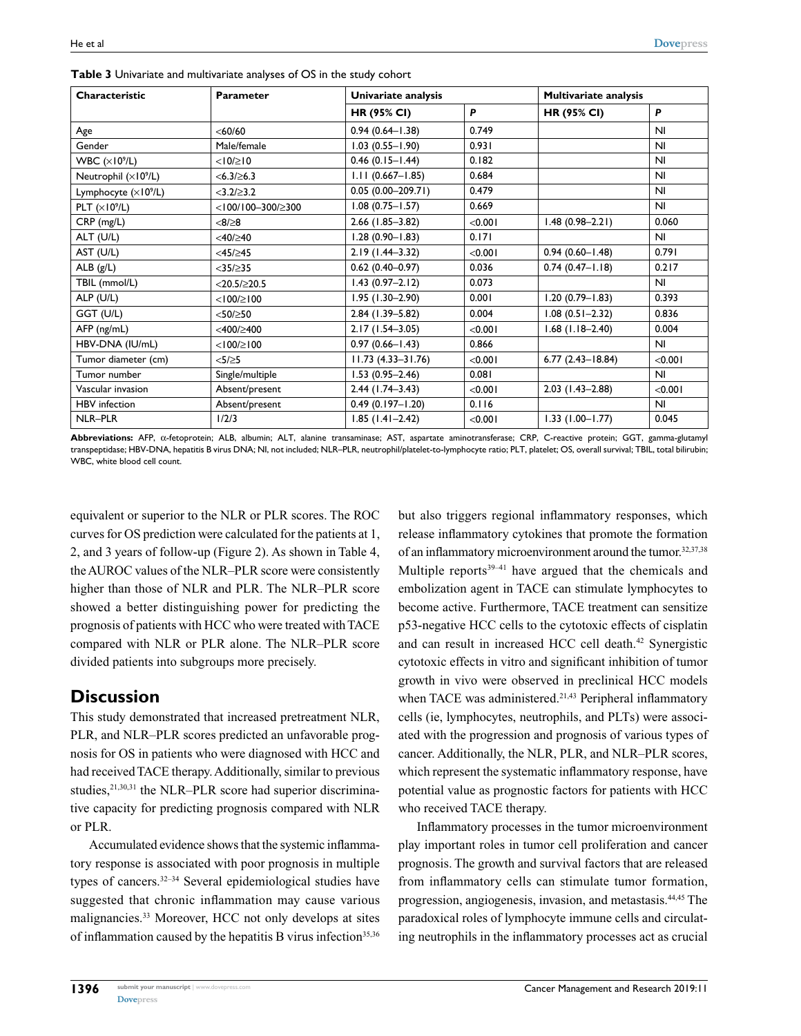| Characteristic                   | <b>Parameter</b>            | Univariate analysis   |         | Multivariate analysis |                |
|----------------------------------|-----------------------------|-----------------------|---------|-----------------------|----------------|
|                                  |                             | <b>HR (95% CI)</b>    | P       | <b>HR (95% CI)</b>    | P              |
| Age                              | < 60/60                     | $0.94(0.64 - 1.38)$   | 0.749   |                       | N <sub>1</sub> |
| Gender                           | Male/female                 | $1.03(0.55 - 1.90)$   | 0.931   |                       | N <sub>l</sub> |
| WBC $(\times 10^9/L)$            | <10/210                     | $0.46$ (0.15-1.44)    | 0.182   |                       | N <sub>l</sub> |
| Neutrophil (×10 <sup>9</sup> /L) | $<\!\!6.3/\!\!\geq<\!\!6.3$ | $1.11(0.667 - 1.85)$  | 0.684   |                       | N <sub>l</sub> |
| Lymphocyte $(\times 10^9/L)$     | $<3.2/\\ge3.2$              | $0.05(0.00-209.71)$   | 0.479   |                       | N <sub>1</sub> |
| PLT $(\times 10^9/L)$            | $<$ 100/100-300/ $\geq$ 300 | $1.08(0.75 - 1.57)$   | 0.669   |                       | N <sub>l</sub> |
| CRP (mg/L)                       | <8/28                       | $2.66$ (1.85-3.82)    | < 0.001 | $1.48(0.98 - 2.21)$   | 0.060          |
| ALT (U/L)                        | $<$ 40/ $\geq$ 40           | $1.28(0.90 - 1.83)$   | 0.171   |                       | N <sub>l</sub> |
| AST (U/L)                        | $<$ 45/ $\geq$ 45           | 2.19 (1.44-3.32)      | < 0.001 | $0.94(0.60 - 1.48)$   | 0.791          |
| ALB $(g/L)$                      | $<$ 35/ $\ge$ 35            | $0.62(0.40 - 0.97)$   | 0.036   | $0.74(0.47 - 1.18)$   | 0.217          |
| TBIL (mmol/L)                    | $<$ 20.5/ $\geq$ 20.5       | $1.43(0.97 - 2.12)$   | 0.073   |                       | N <sub>l</sub> |
| ALP (U/L)                        | $<$ $100/$ $\geq$ $100$     | $1.95(1.30-2.90)$     | 0.001   | $1.20(0.79 - 1.83)$   | 0.393          |
| GGT (U/L)                        | $<$ 50/ $\geq$ 50           | 2.84 (1.39-5.82)      | 0.004   | $1.08(0.51 - 2.32)$   | 0.836          |
| AFP (ng/mL)                      | <400/≥400                   | $2.17(1.54 - 3.05)$   | < 0.001 | $1.68$ (1.18-2.40)    | 0.004          |
| HBV-DNA (IU/mL)                  | $<$ 100/ $\geq$ 100         | $0.97(0.66 - 1.43)$   | 0.866   |                       | N <sub>l</sub> |
| Tumor diameter (cm)              | $<5/ \geq 5$                | $11.73(4.33 - 31.76)$ | < 0.001 | $6.77(2.43 - 18.84)$  | < 0.001        |
| Tumor number                     | Single/multiple             | $1.53(0.95 - 2.46)$   | 0.081   |                       | <b>NI</b>      |
| Vascular invasion                | Absent/present              | $2.44(1.74 - 3.43)$   | < 0.001 | $2.03$ (1.43-2.88)    | < 0.001        |
| <b>HBV</b> infection             | Absent/present              | $0.49(0.197 - 1.20)$  | 0.116   |                       | N <sub>l</sub> |
| NLR-PLR                          | 1/2/3                       | $1.85(1.41 - 2.42)$   | < 0.001 | $1.33(1.00 - 1.77)$   | 0.045          |

**Table 3** Univariate and multivariate analyses of OS in the study cohort

**Abbreviations:** AFP, α-fetoprotein; ALB, albumin; ALT, alanine transaminase; AST, aspartate aminotransferase; CRP, C-reactive protein; GGT, gamma-glutamyl transpeptidase; HBV-DNA, hepatitis B virus DNA; NI, not included; NLR–PLR, neutrophil/platelet-to-lymphocyte ratio; PLT, platelet; OS, overall survival; TBIL, total bilirubin; WBC, white blood cell count.

equivalent or superior to the NLR or PLR scores. The ROC curves for OS prediction were calculated for the patients at 1, 2, and 3 years of follow-up (Figure 2). As shown in Table 4, the AUROC values of the NLR–PLR score were consistently higher than those of NLR and PLR. The NLR–PLR score showed a better distinguishing power for predicting the prognosis of patients with HCC who were treated with TACE compared with NLR or PLR alone. The NLR–PLR score divided patients into subgroups more precisely.

# **Discussion**

This study demonstrated that increased pretreatment NLR, PLR, and NLR–PLR scores predicted an unfavorable prognosis for OS in patients who were diagnosed with HCC and had received TACE therapy. Additionally, similar to previous studies,<sup>21,30,31</sup> the NLR–PLR score had superior discriminative capacity for predicting prognosis compared with NLR or PLR.

Accumulated evidence shows that the systemic inflammatory response is associated with poor prognosis in multiple types of cancers.32–34 Several epidemiological studies have suggested that chronic inflammation may cause various malignancies.<sup>33</sup> Moreover, HCC not only develops at sites of inflammation caused by the hepatitis B virus infection $35,36$  but also triggers regional inflammatory responses, which release inflammatory cytokines that promote the formation of an inflammatory microenvironment around the tumor.<sup>32,37,38</sup> Multiple reports $39-41$  have argued that the chemicals and embolization agent in TACE can stimulate lymphocytes to become active. Furthermore, TACE treatment can sensitize p53-negative HCC cells to the cytotoxic effects of cisplatin and can result in increased HCC cell death.<sup>42</sup> Synergistic cytotoxic effects in vitro and significant inhibition of tumor growth in vivo were observed in preclinical HCC models when TACE was administered.<sup>21,43</sup> Peripheral inflammatory cells (ie, lymphocytes, neutrophils, and PLTs) were associated with the progression and prognosis of various types of cancer. Additionally, the NLR, PLR, and NLR–PLR scores, which represent the systematic inflammatory response, have potential value as prognostic factors for patients with HCC who received TACE therapy.

Inflammatory processes in the tumor microenvironment play important roles in tumor cell proliferation and cancer prognosis. The growth and survival factors that are released from inflammatory cells can stimulate tumor formation, progression, angiogenesis, invasion, and metastasis.44,45 The paradoxical roles of lymphocyte immune cells and circulating neutrophils in the inflammatory processes act as crucial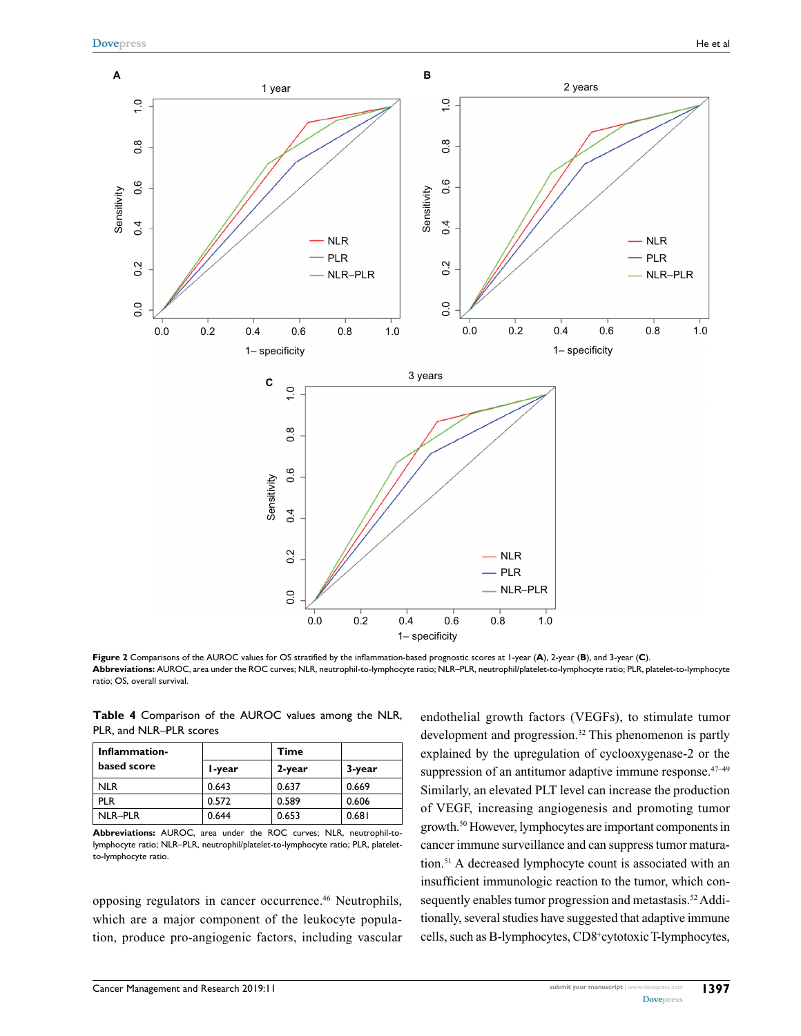

**Figure 2** Comparisons of the AUROC values for OS stratified by the inflammation-based prognostic scores at 1-year (**A**), 2-year (**B**), and 3-year (**C**). **Abbreviations:** AUROC, area under the ROC curves; NLR, neutrophil-to-lymphocyte ratio; NLR–PLR, neutrophil/platelet-to-lymphocyte ratio; PLR, platelet-to-lymphocyte ratio; OS, overall survival.

**Table 4** Comparison of the AUROC values among the NLR, PLR, and NLR–PLR scores

| Inflammation- |        | Time   |        |
|---------------|--------|--------|--------|
| based score   | l-year | 2-year | 3-year |
| <b>NLR</b>    | 0.643  | 0.637  | 0.669  |
| PI R          | 0.572  | 0.589  | 0.606  |
| NLR-PLR       | 0.644  | 0.653  | 0.681  |

**Abbreviations:** AUROC, area under the ROC curves; NLR, neutrophil-tolymphocyte ratio; NLR–PLR, neutrophil/platelet-to-lymphocyte ratio; PLR, plateletto-lymphocyte ratio.

opposing regulators in cancer occurrence.46 Neutrophils, which are a major component of the leukocyte population, produce pro-angiogenic factors, including vascular endothelial growth factors (VEGFs), to stimulate tumor development and progression.<sup>32</sup> This phenomenon is partly explained by the upregulation of cyclooxygenase-2 or the suppression of an antitumor adaptive immune response. $47-49$ Similarly, an elevated PLT level can increase the production of VEGF, increasing angiogenesis and promoting tumor growth.50 However, lymphocytes are important components in cancer immune surveillance and can suppress tumor maturation.51 A decreased lymphocyte count is associated with an insufficient immunologic reaction to the tumor, which consequently enables tumor progression and metastasis.<sup>52</sup> Additionally, several studies have suggested that adaptive immune cells, such as B-lymphocytes, CD8<sup>+</sup> cytotoxic T-lymphocytes,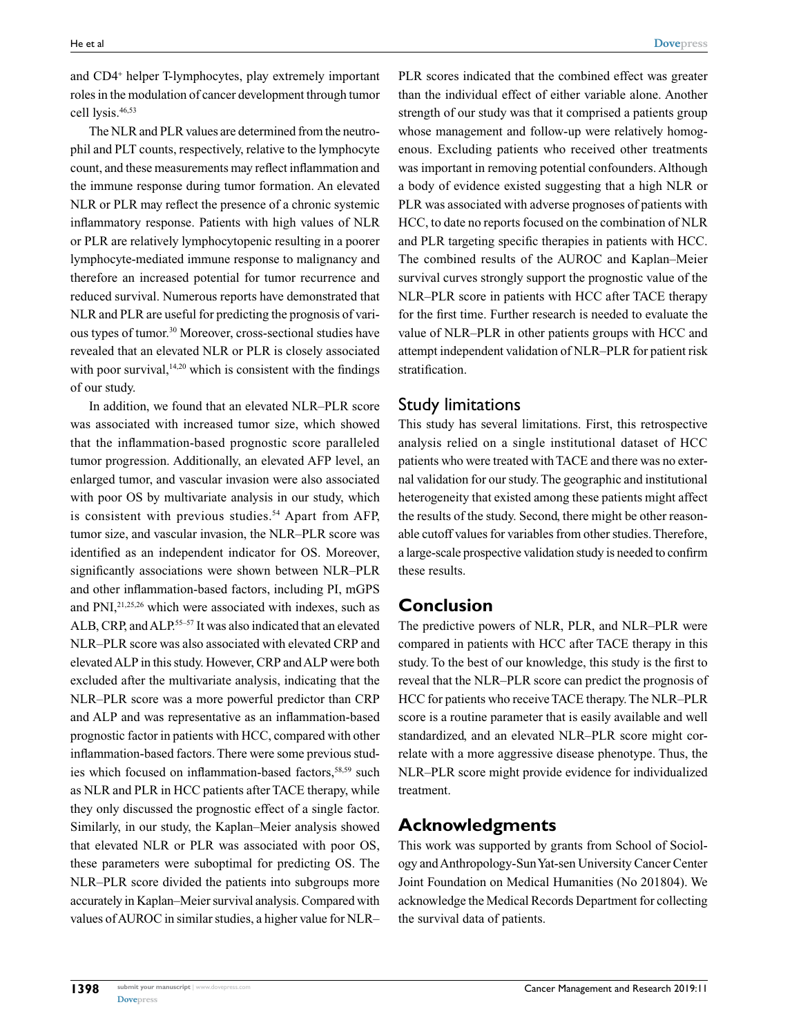and CD4<sup>+</sup> helper T-lymphocytes, play extremely important roles in the modulation of cancer development through tumor cell lysis.46,53

The NLR and PLR values are determined from the neutrophil and PLT counts, respectively, relative to the lymphocyte count, and these measurements may reflect inflammation and the immune response during tumor formation. An elevated NLR or PLR may reflect the presence of a chronic systemic inflammatory response. Patients with high values of NLR or PLR are relatively lymphocytopenic resulting in a poorer lymphocyte-mediated immune response to malignancy and therefore an increased potential for tumor recurrence and reduced survival. Numerous reports have demonstrated that NLR and PLR are useful for predicting the prognosis of various types of tumor.<sup>30</sup> Moreover, cross-sectional studies have revealed that an elevated NLR or PLR is closely associated with poor survival, $14,20$  which is consistent with the findings of our study.

In addition, we found that an elevated NLR–PLR score was associated with increased tumor size, which showed that the inflammation-based prognostic score paralleled tumor progression. Additionally, an elevated AFP level, an enlarged tumor, and vascular invasion were also associated with poor OS by multivariate analysis in our study, which is consistent with previous studies.<sup>54</sup> Apart from AFP, tumor size, and vascular invasion, the NLR–PLR score was identified as an independent indicator for OS. Moreover, significantly associations were shown between NLR–PLR and other inflammation-based factors, including PI, mGPS and PNI,21,25,26 which were associated with indexes, such as ALB, CRP, and ALP.<sup>55–57</sup> It was also indicated that an elevated NLR–PLR score was also associated with elevated CRP and elevated ALP in this study. However, CRP and ALP were both excluded after the multivariate analysis, indicating that the NLR–PLR score was a more powerful predictor than CRP and ALP and was representative as an inflammation-based prognostic factor in patients with HCC, compared with other inflammation-based factors. There were some previous studies which focused on inflammation-based factors,<sup>58,59</sup> such as NLR and PLR in HCC patients after TACE therapy, while they only discussed the prognostic effect of a single factor. Similarly, in our study, the Kaplan–Meier analysis showed that elevated NLR or PLR was associated with poor OS, these parameters were suboptimal for predicting OS. The NLR–PLR score divided the patients into subgroups more accurately in Kaplan–Meier survival analysis. Compared with values of AUROC in similar studies, a higher value for NLR–

PLR scores indicated that the combined effect was greater than the individual effect of either variable alone. Another strength of our study was that it comprised a patients group whose management and follow-up were relatively homogenous. Excluding patients who received other treatments was important in removing potential confounders. Although a body of evidence existed suggesting that a high NLR or PLR was associated with adverse prognoses of patients with HCC, to date no reports focused on the combination of NLR and PLR targeting specific therapies in patients with HCC. The combined results of the AUROC and Kaplan–Meier survival curves strongly support the prognostic value of the NLR–PLR score in patients with HCC after TACE therapy for the first time. Further research is needed to evaluate the value of NLR–PLR in other patients groups with HCC and attempt independent validation of NLR–PLR for patient risk stratification.

#### Study limitations

This study has several limitations. First, this retrospective analysis relied on a single institutional dataset of HCC patients who were treated with TACE and there was no external validation for our study. The geographic and institutional heterogeneity that existed among these patients might affect the results of the study. Second, there might be other reasonable cutoff values for variables from other studies. Therefore, a large-scale prospective validation study is needed to confirm these results.

## **Conclusion**

The predictive powers of NLR, PLR, and NLR–PLR were compared in patients with HCC after TACE therapy in this study. To the best of our knowledge, this study is the first to reveal that the NLR–PLR score can predict the prognosis of HCC for patients who receive TACE therapy. The NLR–PLR score is a routine parameter that is easily available and well standardized, and an elevated NLR–PLR score might correlate with a more aggressive disease phenotype. Thus, the NLR–PLR score might provide evidence for individualized treatment.

## **Acknowledgments**

This work was supported by grants from School of Sociology and Anthropology-Sun Yat-sen University Cancer Center Joint Foundation on Medical Humanities (No 201804). We acknowledge the Medical Records Department for collecting the survival data of patients.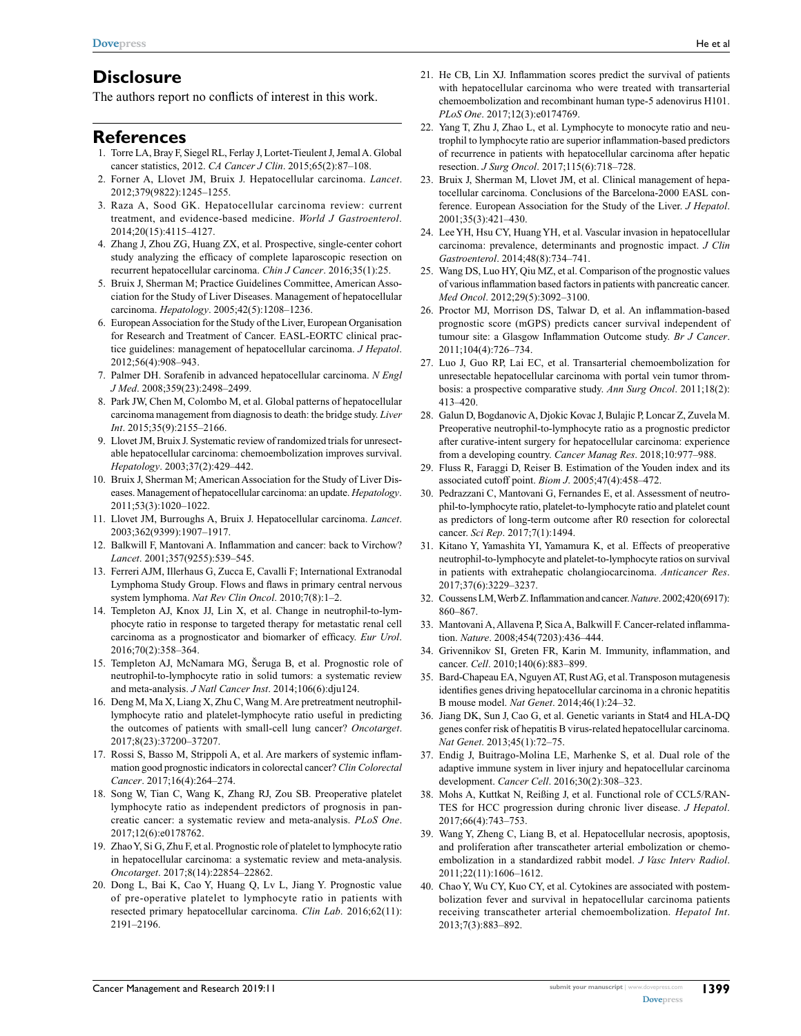## **Disclosure**

The authors report no conflicts of interest in this work.

### **References**

- 1. Torre LA, Bray F, Siegel RL, Ferlay J, Lortet-Tieulent J, Jemal A. Global cancer statistics, 2012. *CA Cancer J Clin*. 2015;65(2):87–108.
- 2. Forner A, Llovet JM, Bruix J. Hepatocellular carcinoma. *Lancet*. 2012;379(9822):1245–1255.
- 3. Raza A, Sood GK. Hepatocellular carcinoma review: current treatment, and evidence-based medicine. *World J Gastroenterol*. 2014;20(15):4115–4127.
- 4. Zhang J, Zhou ZG, Huang ZX, et al. Prospective, single-center cohort study analyzing the efficacy of complete laparoscopic resection on recurrent hepatocellular carcinoma. *Chin J Cancer*. 2016;35(1):25.
- 5. Bruix J, Sherman M; Practice Guidelines Committee, American Association for the Study of Liver Diseases. Management of hepatocellular carcinoma. *Hepatology*. 2005;42(5):1208–1236.
- 6. European Association for the Study of the Liver, European Organisation for Research and Treatment of Cancer. EASL-EORTC clinical practice guidelines: management of hepatocellular carcinoma. *J Hepatol*. 2012;56(4):908–943.
- 7. Palmer DH. Sorafenib in advanced hepatocellular carcinoma. *N Engl J Med*. 2008;359(23):2498–2499.
- 8. Park JW, Chen M, Colombo M, et al. Global patterns of hepatocellular carcinoma management from diagnosis to death: the bridge study. *Liver Int*. 2015;35(9):2155–2166.
- 9. Llovet JM, Bruix J. Systematic review of randomized trials for unresectable hepatocellular carcinoma: chemoembolization improves survival. *Hepatology*. 2003;37(2):429–442.
- 10. Bruix J, Sherman M; American Association for the Study of Liver Diseases. Management of hepatocellular carcinoma: an update. *Hepatology*. 2011;53(3):1020–1022.
- 11. Llovet JM, Burroughs A, Bruix J. Hepatocellular carcinoma. *Lancet*. 2003;362(9399):1907–1917.
- 12. Balkwill F, Mantovani A. Inflammation and cancer: back to Virchow? *Lancet*. 2001;357(9255):539–545.
- 13. Ferreri AJM, Illerhaus G, Zucca E, Cavalli F; International Extranodal Lymphoma Study Group. Flows and flaws in primary central nervous system lymphoma. *Nat Rev Clin Oncol*. 2010;7(8):1–2.
- 14. Templeton AJ, Knox JJ, Lin X, et al. Change in neutrophil-to-lymphocyte ratio in response to targeted therapy for metastatic renal cell carcinoma as a prognosticator and biomarker of efficacy. *Eur Urol*. 2016;70(2):358–364.
- 15. Templeton AJ, McNamara MG, Šeruga B, et al. Prognostic role of neutrophil-to-lymphocyte ratio in solid tumors: a systematic review and meta-analysis. *J Natl Cancer Inst*. 2014;106(6):dju124.
- 16. Deng M, Ma X, Liang X, Zhu C, Wang M. Are pretreatment neutrophillymphocyte ratio and platelet-lymphocyte ratio useful in predicting the outcomes of patients with small-cell lung cancer? *Oncotarget*. 2017;8(23):37200–37207.
- 17. Rossi S, Basso M, Strippoli A, et al. Are markers of systemic inflammation good prognostic indicators in colorectal cancer? *Clin Colorectal Cancer*. 2017;16(4):264–274.
- 18. Song W, Tian C, Wang K, Zhang RJ, Zou SB. Preoperative platelet lymphocyte ratio as independent predictors of prognosis in pancreatic cancer: a systematic review and meta-analysis. *PLoS One*. 2017;12(6):e0178762.
- 19. Zhao Y, Si G, Zhu F, et al. Prognostic role of platelet to lymphocyte ratio in hepatocellular carcinoma: a systematic review and meta-analysis. *Oncotarget*. 2017;8(14):22854–22862.
- 20. Dong L, Bai K, Cao Y, Huang Q, Lv L, Jiang Y. Prognostic value of pre-operative platelet to lymphocyte ratio in patients with resected primary hepatocellular carcinoma. *Clin Lab*. 2016;62(11): 2191–2196.
- 21. He CB, Lin XJ. Inflammation scores predict the survival of patients with hepatocellular carcinoma who were treated with transarterial chemoembolization and recombinant human type-5 adenovirus H101. *PLoS One*. 2017;12(3):e0174769.
- 22. Yang T, Zhu J, Zhao L, et al. Lymphocyte to monocyte ratio and neutrophil to lymphocyte ratio are superior inflammation-based predictors of recurrence in patients with hepatocellular carcinoma after hepatic resection. *J Surg Oncol*. 2017;115(6):718–728.
- 23. Bruix J, Sherman M, Llovet JM, et al. Clinical management of hepatocellular carcinoma. Conclusions of the Barcelona-2000 EASL conference. European Association for the Study of the Liver. *J Hepatol*. 2001;35(3):421–430.
- 24. Lee YH, Hsu CY, Huang YH, et al. Vascular invasion in hepatocellular carcinoma: prevalence, determinants and prognostic impact. *J Clin Gastroenterol*. 2014;48(8):734–741.
- 25. Wang DS, Luo HY, Qiu MZ, et al. Comparison of the prognostic values of various inflammation based factors in patients with pancreatic cancer. *Med Oncol*. 2012;29(5):3092–3100.
- 26. Proctor MJ, Morrison DS, Talwar D, et al. An inflammation-based prognostic score (mGPS) predicts cancer survival independent of tumour site: a Glasgow Inflammation Outcome study. *Br J Cancer*. 2011;104(4):726–734.
- 27. Luo J, Guo RP, Lai EC, et al. Transarterial chemoembolization for unresectable hepatocellular carcinoma with portal vein tumor thrombosis: a prospective comparative study. *Ann Surg Oncol*. 2011;18(2): 413–420.
- 28. Galun D, Bogdanovic A, Djokic Kovac J, Bulajic P, Loncar Z, Zuvela M. Preoperative neutrophil-to-lymphocyte ratio as a prognostic predictor after curative-intent surgery for hepatocellular carcinoma: experience from a developing country. *Cancer Manag Res*. 2018;10:977–988.
- 29. Fluss R, Faraggi D, Reiser B. Estimation of the Youden index and its associated cutoff point. *Biom J*. 2005;47(4):458–472.
- 30. Pedrazzani C, Mantovani G, Fernandes E, et al. Assessment of neutrophil-to-lymphocyte ratio, platelet-to-lymphocyte ratio and platelet count as predictors of long-term outcome after R0 resection for colorectal cancer. *Sci Rep*. 2017;7(1):1494.
- 31. Kitano Y, Yamashita YI, Yamamura K, et al. Effects of preoperative neutrophil-to-lymphocyte and platelet-to-lymphocyte ratios on survival in patients with extrahepatic cholangiocarcinoma. *Anticancer Res*. 2017;37(6):3229–3237.
- 32. Coussens LM, Werb Z. Inflammation and cancer. *Nature*. 2002;420(6917): 860–867.
- 33. Mantovani A, Allavena P, Sica A, Balkwill F. Cancer-related inflammation. *Nature*. 2008;454(7203):436–444.
- 34. Grivennikov SI, Greten FR, Karin M. Immunity, inflammation, and cancer. *Cell*. 2010;140(6):883–899.
- 35. Bard-Chapeau EA, Nguyen AT, Rust AG, et al. Transposon mutagenesis identifies genes driving hepatocellular carcinoma in a chronic hepatitis B mouse model. *Nat Genet*. 2014;46(1):24–32.
- 36. Jiang DK, Sun J, Cao G, et al. Genetic variants in Stat4 and HLA-DQ genes confer risk of hepatitis B virus-related hepatocellular carcinoma. *Nat Genet*. 2013;45(1):72–75.
- 37. Endig J, Buitrago-Molina LE, Marhenke S, et al. Dual role of the adaptive immune system in liver injury and hepatocellular carcinoma development. *Cancer Cell*. 2016;30(2):308–323.
- 38. Mohs A, Kuttkat N, Reißing J, et al. Functional role of CCL5/RAN-TES for HCC progression during chronic liver disease. *J Hepatol*. 2017;66(4):743–753.
- 39. Wang Y, Zheng C, Liang B, et al. Hepatocellular necrosis, apoptosis, and proliferation after transcatheter arterial embolization or chemoembolization in a standardized rabbit model. *J Vasc Interv Radiol*. 2011;22(11):1606–1612.
- 40. Chao Y, Wu CY, Kuo CY, et al. Cytokines are associated with postembolization fever and survival in hepatocellular carcinoma patients receiving transcatheter arterial chemoembolization. *Hepatol Int*. 2013;7(3):883–892.